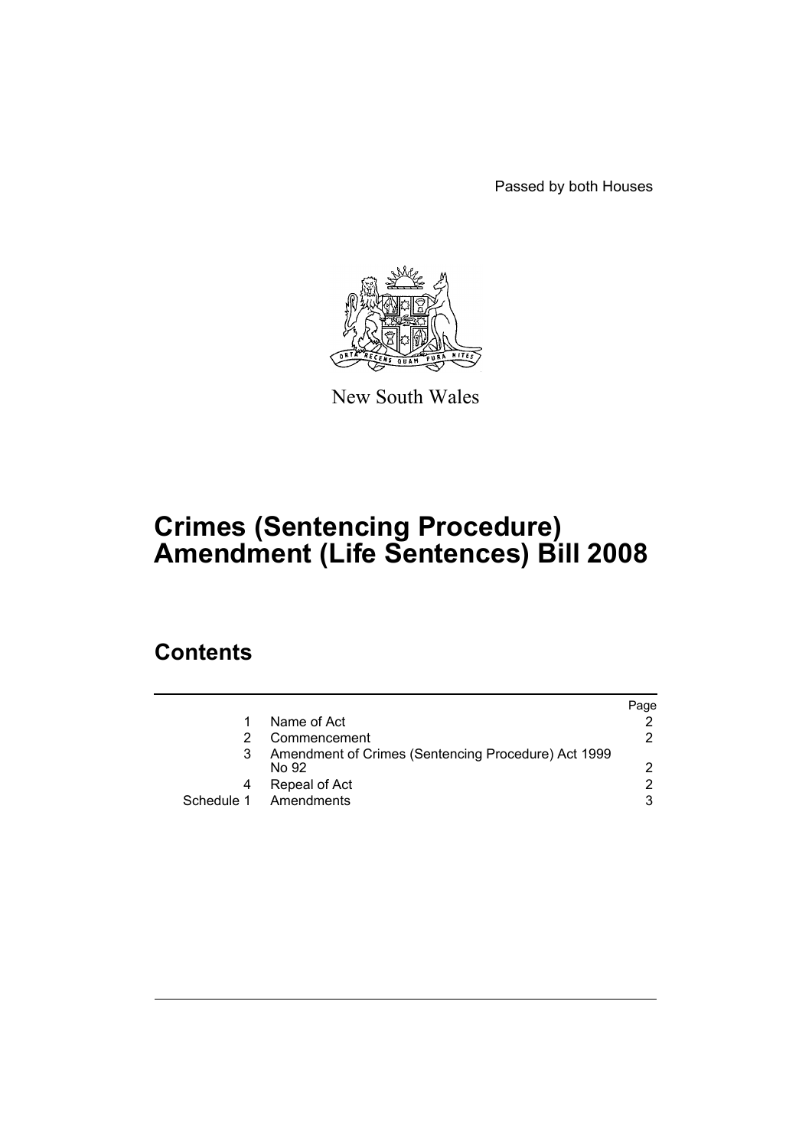Passed by both Houses



New South Wales

# **Crimes (Sentencing Procedure) Amendment (Life Sentences) Bill 2008**

### **Contents**

|   |                                                              | Paqe |
|---|--------------------------------------------------------------|------|
| 1 | Name of Act                                                  |      |
|   | Commencement                                                 | 2.   |
| 3 | Amendment of Crimes (Sentencing Procedure) Act 1999<br>No 92 | 2    |
|   | Repeal of Act                                                | 2    |
|   | Schedule 1 Amendments                                        | 3    |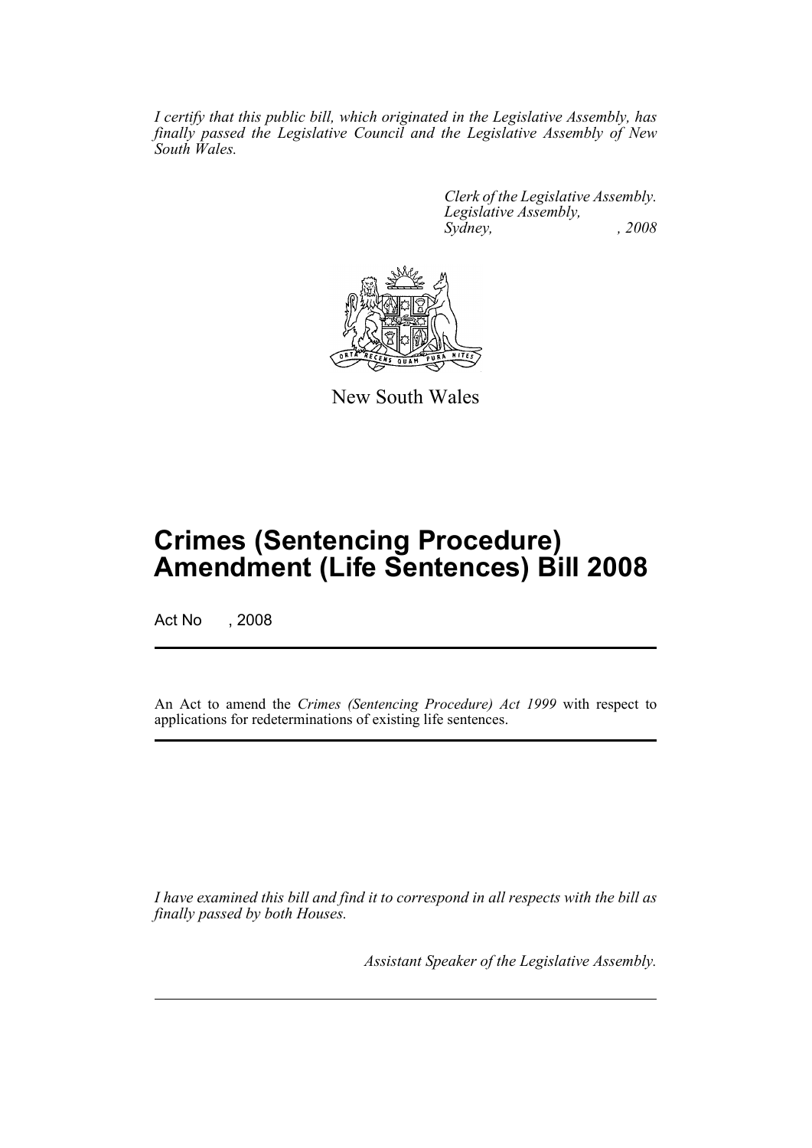*I certify that this public bill, which originated in the Legislative Assembly, has finally passed the Legislative Council and the Legislative Assembly of New South Wales.*

> *Clerk of the Legislative Assembly. Legislative Assembly, Sydney, , 2008*



New South Wales

## **Crimes (Sentencing Procedure) Amendment (Life Sentences) Bill 2008**

Act No , 2008

An Act to amend the *Crimes (Sentencing Procedure) Act 1999* with respect to applications for redeterminations of existing life sentences.

*I have examined this bill and find it to correspond in all respects with the bill as finally passed by both Houses.*

*Assistant Speaker of the Legislative Assembly.*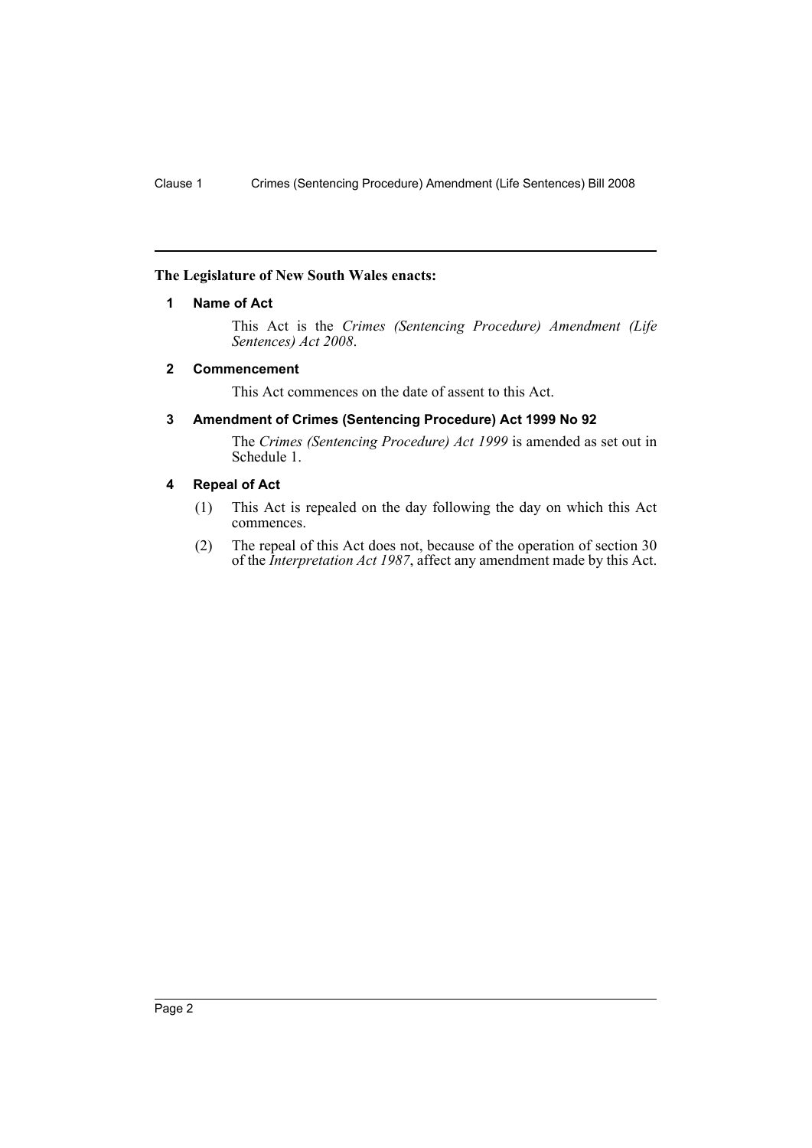#### <span id="page-2-0"></span>**The Legislature of New South Wales enacts:**

#### **1 Name of Act**

This Act is the *Crimes (Sentencing Procedure) Amendment (Life Sentences) Act 2008*.

#### <span id="page-2-1"></span>**2 Commencement**

This Act commences on the date of assent to this Act.

#### <span id="page-2-2"></span>**3 Amendment of Crimes (Sentencing Procedure) Act 1999 No 92**

The *Crimes (Sentencing Procedure) Act 1999* is amended as set out in Schedule 1.

#### <span id="page-2-3"></span>**4 Repeal of Act**

- (1) This Act is repealed on the day following the day on which this Act commences.
- (2) The repeal of this Act does not, because of the operation of section 30 of the *Interpretation Act 1987*, affect any amendment made by this Act.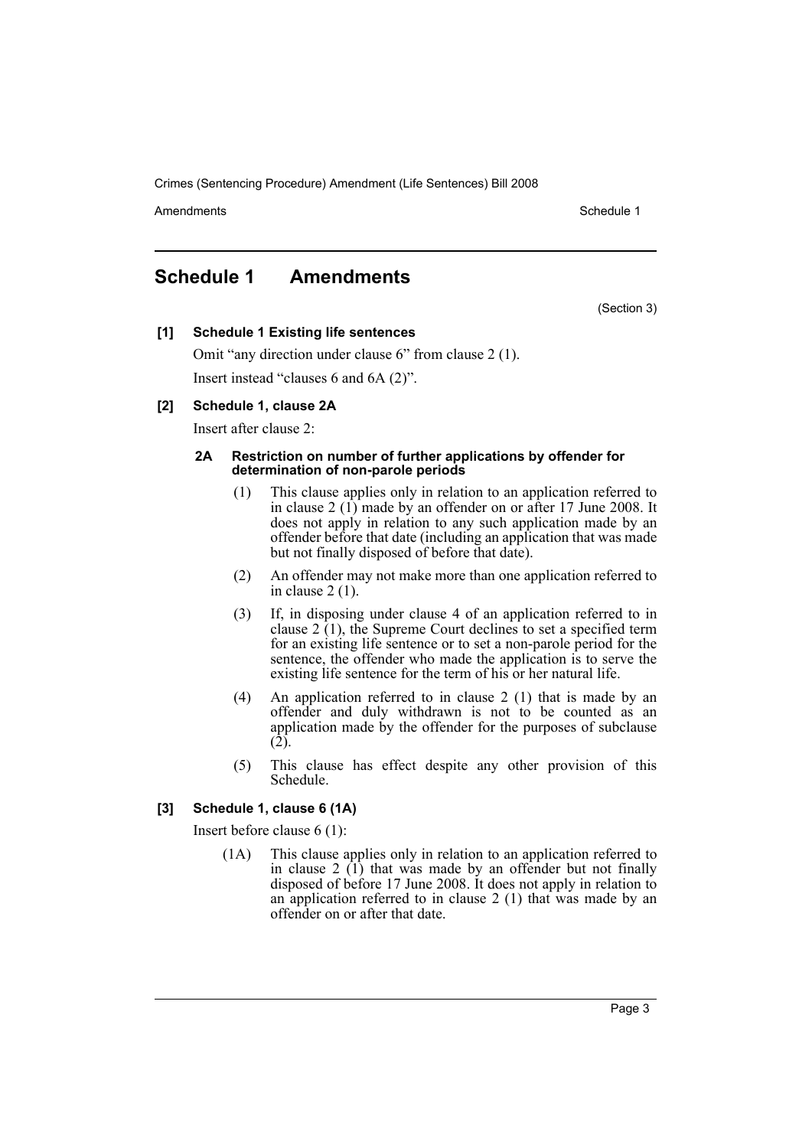Crimes (Sentencing Procedure) Amendment (Life Sentences) Bill 2008

Amendments **Amendments** Schedule 1

### <span id="page-3-0"></span>**Schedule 1 Amendments**

(Section 3)

**[1] Schedule 1 Existing life sentences**

Omit "any direction under clause 6" from clause 2 (1). Insert instead "clauses 6 and 6A (2)".

#### **[2] Schedule 1, clause 2A**

Insert after clause 2:

#### **2A Restriction on number of further applications by offender for determination of non-parole periods**

- (1) This clause applies only in relation to an application referred to in clause 2 (1) made by an offender on or after 17 June 2008. It does not apply in relation to any such application made by an offender before that date (including an application that was made but not finally disposed of before that date).
- (2) An offender may not make more than one application referred to in clause 2 (1).
- (3) If, in disposing under clause 4 of an application referred to in clause  $2(1)$ , the Supreme Court declines to set a specified term for an existing life sentence or to set a non-parole period for the sentence, the offender who made the application is to serve the existing life sentence for the term of his or her natural life.
- (4) An application referred to in clause 2 (1) that is made by an offender and duly withdrawn is not to be counted as an application made by the offender for the purposes of subclause (2).
- (5) This clause has effect despite any other provision of this Schedule.

#### **[3] Schedule 1, clause 6 (1A)**

Insert before clause 6 (1):

(1A) This clause applies only in relation to an application referred to in clause 2 (1) that was made by an offender but not finally disposed of before 17 June 2008. It does not apply in relation to an application referred to in clause 2 (1) that was made by an offender on or after that date.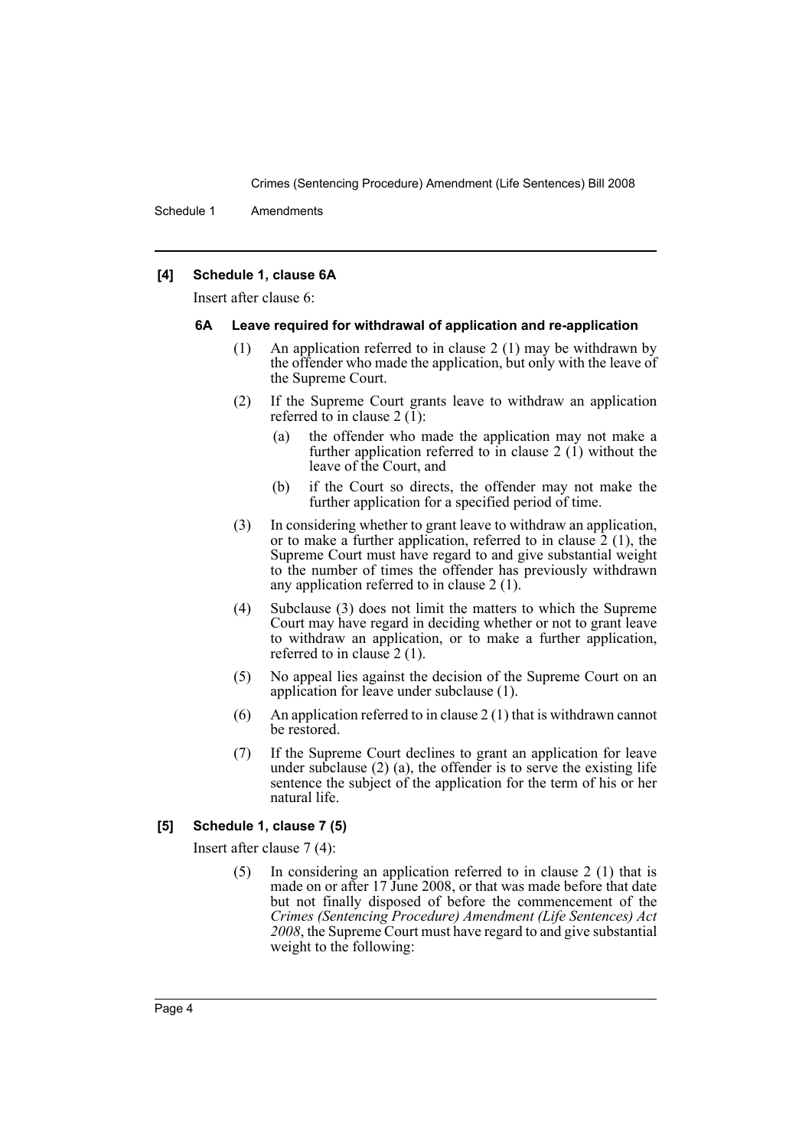Crimes (Sentencing Procedure) Amendment (Life Sentences) Bill 2008

Schedule 1 Amendments

#### **[4] Schedule 1, clause 6A**

Insert after clause 6:

#### **6A Leave required for withdrawal of application and re-application**

- (1) An application referred to in clause 2 (1) may be withdrawn by the offender who made the application, but only with the leave of the Supreme Court.
- (2) If the Supreme Court grants leave to withdraw an application referred to in clause 2 (1):
	- (a) the offender who made the application may not make a further application referred to in clause 2  $(1)$  without the leave of the Court, and
	- (b) if the Court so directs, the offender may not make the further application for a specified period of time.
- (3) In considering whether to grant leave to withdraw an application, or to make a further application, referred to in clause  $\hat{2}$  (1), the Supreme Court must have regard to and give substantial weight to the number of times the offender has previously withdrawn any application referred to in clause 2 (1).
- (4) Subclause (3) does not limit the matters to which the Supreme Court may have regard in deciding whether or not to grant leave to withdraw an application, or to make a further application, referred to in clause 2 (1).
- (5) No appeal lies against the decision of the Supreme Court on an application for leave under subclause (1).
- (6) An application referred to in clause  $2(1)$  that is withdrawn cannot be restored.
- (7) If the Supreme Court declines to grant an application for leave under subclause  $(2)$   $(a)$ , the offender is to serve the existing life sentence the subject of the application for the term of his or her natural life.

#### **[5] Schedule 1, clause 7 (5)**

Insert after clause 7 (4):

(5) In considering an application referred to in clause 2 (1) that is made on or after 17 June 2008, or that was made before that date but not finally disposed of before the commencement of the *Crimes (Sentencing Procedure) Amendment (Life Sentences) Act 2008*, the Supreme Court must have regard to and give substantial weight to the following: